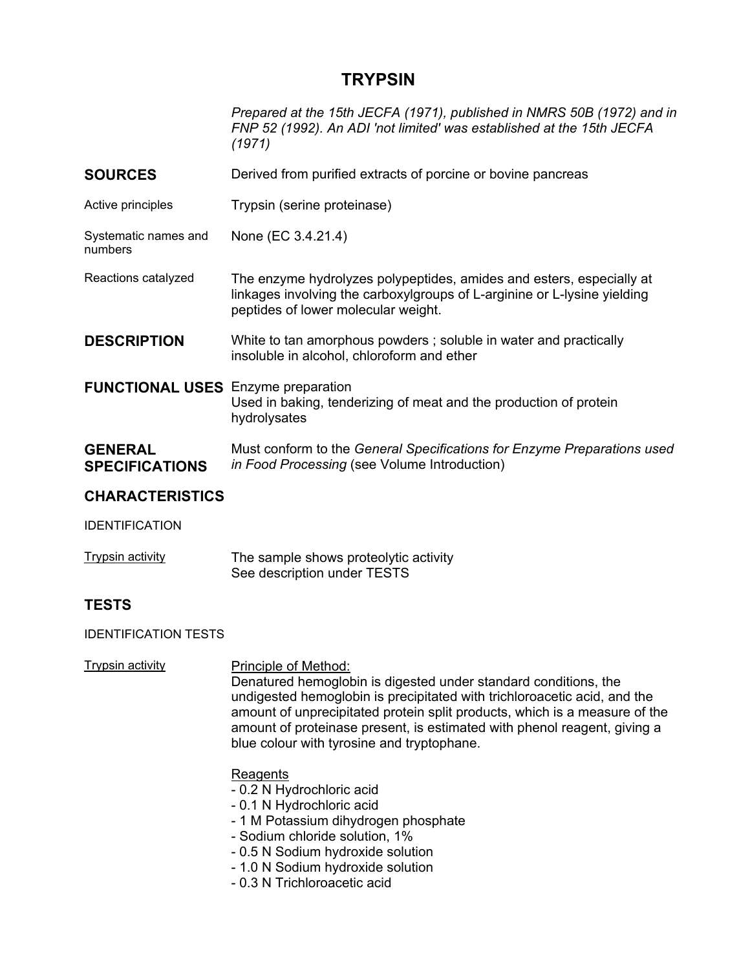# **TRYPSIN**

*Prepared at the 15th JECFA (1971), published in NMRS 50B (1972) and in FNP 52 (1992). An ADI 'not limited' was established at the 15th JECFA (1971)* 

- **SOURCES** Derived from purified extracts of porcine or bovine pancreas
- Active principles Trypsin (serine proteinase)

Systematic names and numbers None (EC 3.4.21.4)

- Reactions catalyzed The enzyme hydrolyzes polypeptides, amides and esters, especially at linkages involving the carboxylgroups of L-arginine or L-lysine yielding peptides of lower molecular weight.
- **DESCRIPTION** White to tan amorphous powders; soluble in water and practically insoluble in alcohol, chloroform and ether
- **FUNCTIONAL USES** Enzyme preparation Used in baking, tenderizing of meat and the production of protein hydrolysates
- **GENERAL SPECIFICATIONS**  Must conform to the *General Specifications for Enzyme Preparations used in Food Processing* (see Volume Introduction)

# **CHARACTERISTICS**

IDENTIFICATION

Trypsin activity The sample shows proteolytic activity See description under TESTS

# **TESTS**

IDENTIFICATION TESTS

Trypsin activity **Principle of Method:** 

Denatured hemoglobin is digested under standard conditions, the undigested hemoglobin is precipitated with trichloroacetic acid, and the amount of unprecipitated protein split products, which is a measure of the amount of proteinase present, is estimated with phenol reagent, giving a blue colour with tyrosine and tryptophane.

# **Reagents**

- 0.2 N Hydrochloric acid
- 0.1 N Hydrochloric acid
- 1 M Potassium dihydrogen phosphate
- Sodium chloride solution, 1%
- 0.5 N Sodium hydroxide solution
- 1.0 N Sodium hydroxide solution
- 0.3 N Trichloroacetic acid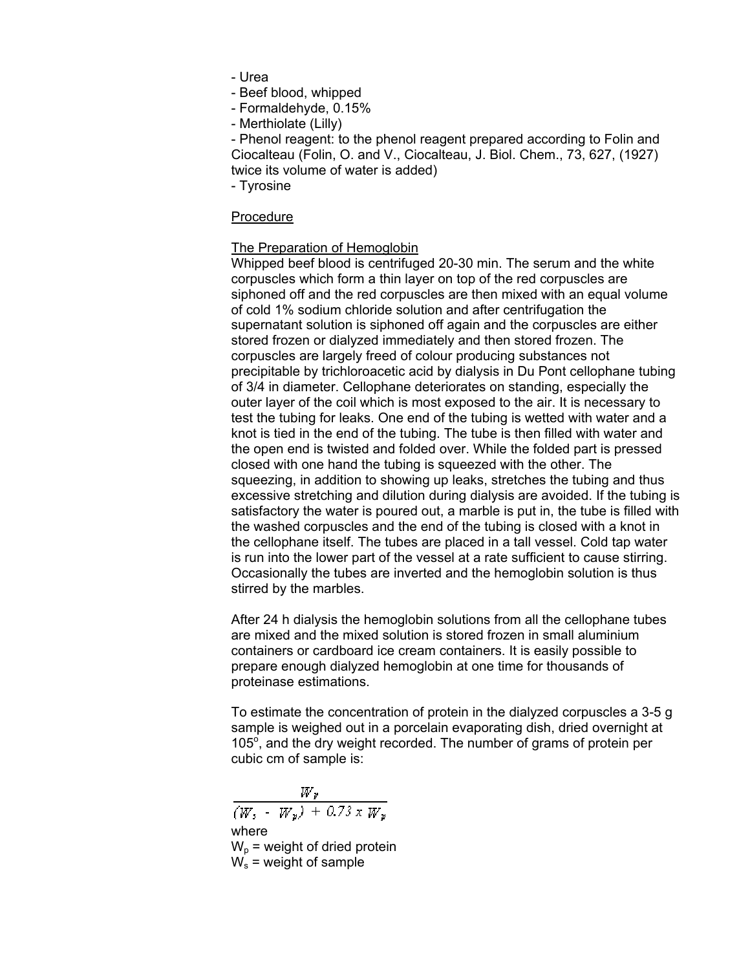- Urea

- Beef blood, whipped
- Formaldehyde, 0.15%
- Merthiolate (Lilly)

- Phenol reagent: to the phenol reagent prepared according to Folin and Ciocalteau (Folin, O. and V., Ciocalteau, J. Biol. Chem., 73, 627, (1927) twice its volume of water is added)

- Tyrosine

#### Procedure

# The Preparation of Hemoglobin

Whipped beef blood is centrifuged 20-30 min. The serum and the white corpuscles which form a thin layer on top of the red corpuscles are siphoned off and the red corpuscles are then mixed with an equal volume of cold 1% sodium chloride solution and after centrifugation the supernatant solution is siphoned off again and the corpuscles are either stored frozen or dialyzed immediately and then stored frozen. The corpuscles are largely freed of colour producing substances not precipitable by trichloroacetic acid by dialysis in Du Pont cellophane tubing of 3/4 in diameter. Cellophane deteriorates on standing, especially the outer layer of the coil which is most exposed to the air. It is necessary to test the tubing for leaks. One end of the tubing is wetted with water and a knot is tied in the end of the tubing. The tube is then filled with water and the open end is twisted and folded over. While the folded part is pressed closed with one hand the tubing is squeezed with the other. The squeezing, in addition to showing up leaks, stretches the tubing and thus excessive stretching and dilution during dialysis are avoided. If the tubing is satisfactory the water is poured out, a marble is put in, the tube is filled with the washed corpuscles and the end of the tubing is closed with a knot in the cellophane itself. The tubes are placed in a tall vessel. Cold tap water is run into the lower part of the vessel at a rate sufficient to cause stirring. Occasionally the tubes are inverted and the hemoglobin solution is thus stirred by the marbles.

After 24 h dialysis the hemoglobin solutions from all the cellophane tubes are mixed and the mixed solution is stored frozen in small aluminium containers or cardboard ice cream containers. It is easily possible to prepare enough dialyzed hemoglobin at one time for thousands of proteinase estimations.

To estimate the concentration of protein in the dialyzed corpuscles a 3-5 g sample is weighed out in a porcelain evaporating dish, dried overnight at 105°, and the dry weight recorded. The number of grams of protein per cubic cm of sample is:

 $\frac{W_p}{(W_s - W_p) + 0.73 \times W_p}$ where  $W_p$  = weight of dried protein  $W_s$  = weight of sample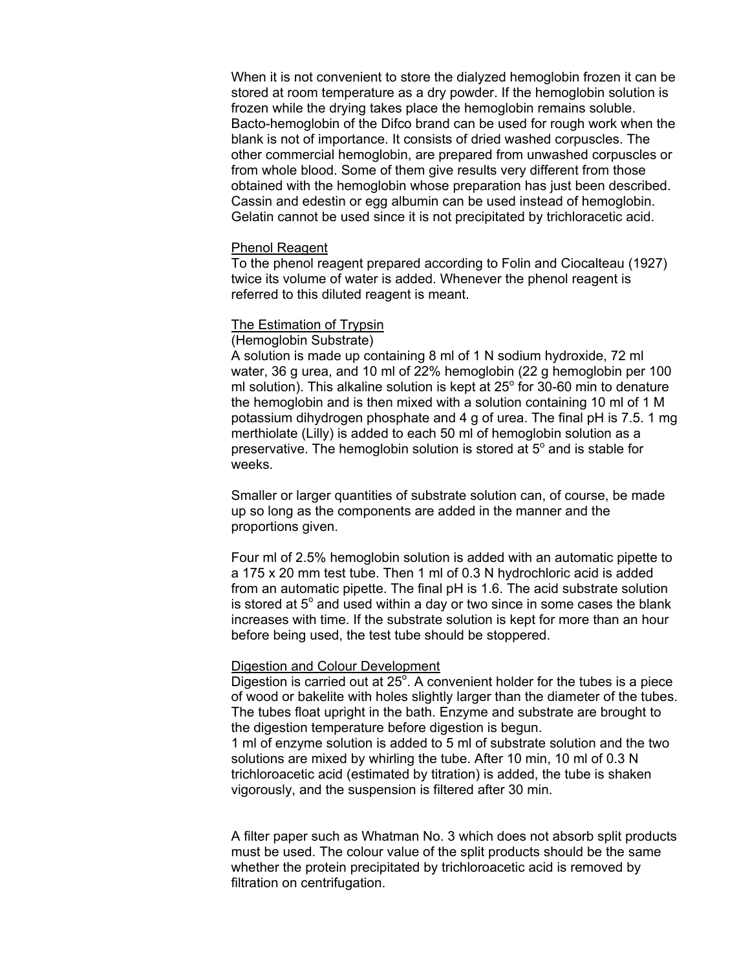When it is not convenient to store the dialyzed hemoglobin frozen it can be stored at room temperature as a dry powder. If the hemoglobin solution is frozen while the drying takes place the hemoglobin remains soluble. Bacto-hemoglobin of the Difco brand can be used for rough work when the blank is not of importance. It consists of dried washed corpuscles. The other commercial hemoglobin, are prepared from unwashed corpuscles or from whole blood. Some of them give results very different from those obtained with the hemoglobin whose preparation has just been described. Cassin and edestin or egg albumin can be used instead of hemoglobin. Gelatin cannot be used since it is not precipitated by trichloracetic acid.

#### Phenol Reagent

To the phenol reagent prepared according to Folin and Ciocalteau (1927) twice its volume of water is added. Whenever the phenol reagent is referred to this diluted reagent is meant.

# The Estimation of Trypsin

## (Hemoglobin Substrate)

A solution is made up containing 8 ml of 1 N sodium hydroxide, 72 ml water, 36 g urea, and 10 ml of 22% hemoglobin (22 g hemoglobin per 100 ml solution). This alkaline solution is kept at  $25^{\circ}$  for 30-60 min to denature the hemoglobin and is then mixed with a solution containing 10 ml of 1 M potassium dihydrogen phosphate and 4 g of urea. The final pH is 7.5. 1 mg merthiolate (Lilly) is added to each 50 ml of hemoglobin solution as a preservative. The hemoglobin solution is stored at  $5^\circ$  and is stable for weeks.

Smaller or larger quantities of substrate solution can, of course, be made up so long as the components are added in the manner and the proportions given.

Four ml of 2.5% hemoglobin solution is added with an automatic pipette to a 175 x 20 mm test tube. Then 1 ml of 0.3 N hydrochloric acid is added from an automatic pipette. The final pH is 1.6. The acid substrate solution is stored at  $5^{\circ}$  and used within a day or two since in some cases the blank increases with time. If the substrate solution is kept for more than an hour before being used, the test tube should be stoppered.

### Digestion and Colour Development

Digestion is carried out at 25°. A convenient holder for the tubes is a piece of wood or bakelite with holes slightly larger than the diameter of the tubes. The tubes float upright in the bath. Enzyme and substrate are brought to the digestion temperature before digestion is begun.

1 ml of enzyme solution is added to 5 ml of substrate solution and the two solutions are mixed by whirling the tube. After 10 min, 10 ml of 0.3 N trichloroacetic acid (estimated by titration) is added, the tube is shaken vigorously, and the suspension is filtered after 30 min.

A filter paper such as Whatman No. 3 which does not absorb split products must be used. The colour value of the split products should be the same whether the protein precipitated by trichloroacetic acid is removed by filtration on centrifugation.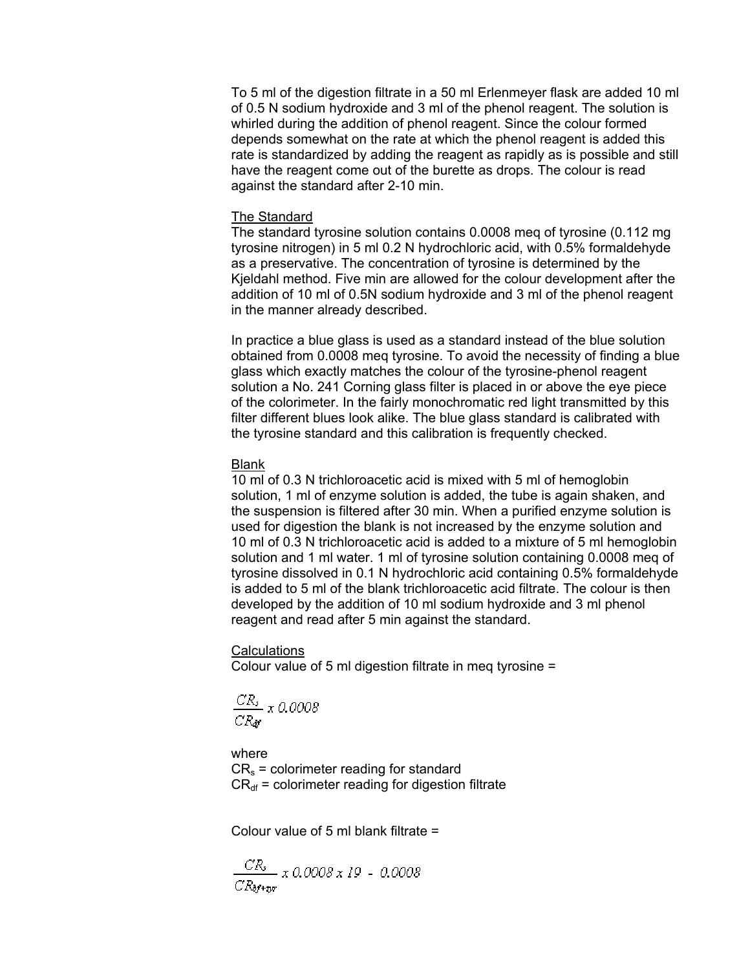To 5 ml of the digestion filtrate in a 50 ml Erlenmeyer flask are added 10 ml of 0.5 N sodium hydroxide and 3 ml of the phenol reagent. The solution is whirled during the addition of phenol reagent. Since the colour formed depends somewhat on the rate at which the phenol reagent is added this rate is standardized by adding the reagent as rapidly as is possible and still have the reagent come out of the burette as drops. The colour is read against the standard after 2-10 min.

### The Standard

The standard tyrosine solution contains 0.0008 meq of tyrosine (0.112 mg tyrosine nitrogen) in 5 ml 0.2 N hydrochloric acid, with 0.5% formaldehyde as a preservative. The concentration of tyrosine is determined by the Kjeldahl method. Five min are allowed for the colour development after the addition of 10 ml of 0.5N sodium hydroxide and 3 ml of the phenol reagent in the manner already described.

In practice a blue glass is used as a standard instead of the blue solution obtained from 0.0008 meq tyrosine. To avoid the necessity of finding a blue glass which exactly matches the colour of the tyrosine-phenol reagent solution a No. 241 Corning glass filter is placed in or above the eye piece of the colorimeter. In the fairly monochromatic red light transmitted by this filter different blues look alike. The blue glass standard is calibrated with the tyrosine standard and this calibration is frequently checked.

# Blank

10 ml of 0.3 N trichloroacetic acid is mixed with 5 ml of hemoglobin solution, 1 ml of enzyme solution is added, the tube is again shaken, and the suspension is filtered after 30 min. When a purified enzyme solution is used for digestion the blank is not increased by the enzyme solution and 10 ml of 0.3 N trichloroacetic acid is added to a mixture of 5 ml hemoglobin solution and 1 ml water. 1 ml of tyrosine solution containing 0.0008 meq of tyrosine dissolved in 0.1 N hydrochloric acid containing 0.5% formaldehyde is added to 5 ml of the blank trichloroacetic acid filtrate. The colour is then developed by the addition of 10 ml sodium hydroxide and 3 ml phenol reagent and read after 5 min against the standard.

### Calculations

Colour value of 5 ml digestion filtrate in meq tyrosine =

$$
\frac{CR_s}{CR_{\text{AF}}} \times 0.0008
$$

where  $CR_s =$  colorimeter reading for standard  $CR<sub>df</sub>$  = colorimeter reading for digestion filtrate

Colour value of 5 ml blank filtrate =

$$
\frac{CR_{s}}{CR_{\delta f+tpr}} \times 0.0008 \times 19 - 0.0008
$$